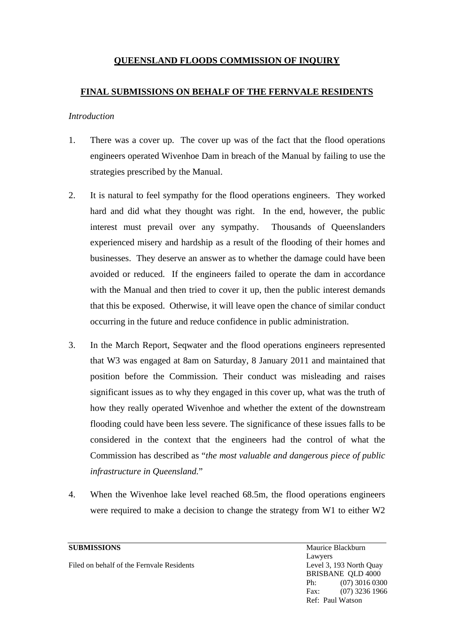# **QUEENSLAND FLOODS COMMISSION OF INQUIRY**

## **FINAL SUBMISSIONS ON BEHALF OF THE FERNVALE RESIDENTS**

### *Introduction*

- 1. There was a cover up. The cover up was of the fact that the flood operations engineers operated Wivenhoe Dam in breach of the Manual by failing to use the strategies prescribed by the Manual.
- 2. It is natural to feel sympathy for the flood operations engineers. They worked hard and did what they thought was right. In the end, however, the public interest must prevail over any sympathy. Thousands of Queenslanders experienced misery and hardship as a result of the flooding of their homes and businesses. They deserve an answer as to whether the damage could have been avoided or reduced. If the engineers failed to operate the dam in accordance with the Manual and then tried to cover it up, then the public interest demands that this be exposed. Otherwise, it will leave open the chance of similar conduct occurring in the future and reduce confidence in public administration.
- 3. In the March Report, Seqwater and the flood operations engineers represented that W3 was engaged at 8am on Saturday, 8 January 2011 and maintained that position before the Commission. Their conduct was misleading and raises significant issues as to why they engaged in this cover up, what was the truth of how they really operated Wivenhoe and whether the extent of the downstream flooding could have been less severe. The significance of these issues falls to be considered in the context that the engineers had the control of what the Commission has described as "*the most valuable and dangerous piece of public infrastructure in Queensland.*"
- 4. When the Wivenhoe lake level reached 68.5m, the flood operations engineers were required to make a decision to change the strategy from W1 to either W2

Filed on behalf of the Fernvale Residents **Level 3, 193 North Quay**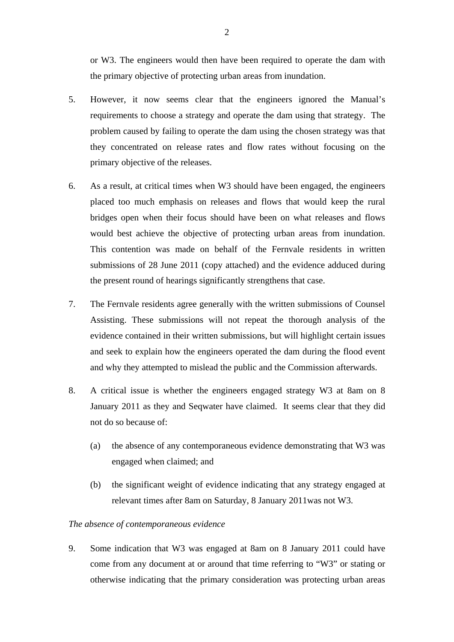or W3. The engineers would then have been required to operate the dam with the primary objective of protecting urban areas from inundation.

- 5. However, it now seems clear that the engineers ignored the Manual's requirements to choose a strategy and operate the dam using that strategy. The problem caused by failing to operate the dam using the chosen strategy was that they concentrated on release rates and flow rates without focusing on the primary objective of the releases.
- 6. As a result, at critical times when W3 should have been engaged, the engineers placed too much emphasis on releases and flows that would keep the rural bridges open when their focus should have been on what releases and flows would best achieve the objective of protecting urban areas from inundation. This contention was made on behalf of the Fernvale residents in written submissions of 28 June 2011 (copy attached) and the evidence adduced during the present round of hearings significantly strengthens that case.
- 7. The Fernvale residents agree generally with the written submissions of Counsel Assisting. These submissions will not repeat the thorough analysis of the evidence contained in their written submissions, but will highlight certain issues and seek to explain how the engineers operated the dam during the flood event and why they attempted to mislead the public and the Commission afterwards.
- 8. A critical issue is whether the engineers engaged strategy W3 at 8am on 8 January 2011 as they and Seqwater have claimed. It seems clear that they did not do so because of:
	- (a) the absence of any contemporaneous evidence demonstrating that W3 was engaged when claimed; and
	- (b) the significant weight of evidence indicating that any strategy engaged at relevant times after 8am on Saturday, 8 January 2011was not W3.

#### *The absence of contemporaneous evidence*

9. Some indication that W3 was engaged at 8am on 8 January 2011 could have come from any document at or around that time referring to "W3" or stating or otherwise indicating that the primary consideration was protecting urban areas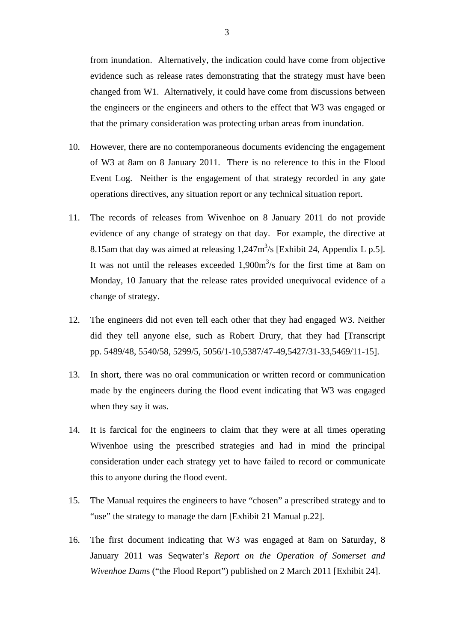from inundation. Alternatively, the indication could have come from objective evidence such as release rates demonstrating that the strategy must have been changed from W1. Alternatively, it could have come from discussions between the engineers or the engineers and others to the effect that W3 was engaged or that the primary consideration was protecting urban areas from inundation.

- 10. However, there are no contemporaneous documents evidencing the engagement of W3 at 8am on 8 January 2011. There is no reference to this in the Flood Event Log. Neither is the engagement of that strategy recorded in any gate operations directives, any situation report or any technical situation report.
- 11. The records of releases from Wivenhoe on 8 January 2011 do not provide evidence of any change of strategy on that day. For example, the directive at 8.15am that day was aimed at releasing  $1,247 \text{m}^3/\text{s}$  [Exhibit 24, Appendix L p.5]. It was not until the releases exceeded  $1,900m<sup>3</sup>/s$  for the first time at 8am on Monday, 10 January that the release rates provided unequivocal evidence of a change of strategy.
- 12. The engineers did not even tell each other that they had engaged W3. Neither did they tell anyone else, such as Robert Drury, that they had [Transcript pp. 5489/48, 5540/58, 5299/5, 5056/1-10,5387/47-49,5427/31-33,5469/11-15].
- 13. In short, there was no oral communication or written record or communication made by the engineers during the flood event indicating that W3 was engaged when they say it was.
- 14. It is farcical for the engineers to claim that they were at all times operating Wivenhoe using the prescribed strategies and had in mind the principal consideration under each strategy yet to have failed to record or communicate this to anyone during the flood event.
- 15. The Manual requires the engineers to have "chosen" a prescribed strategy and to "use" the strategy to manage the dam [Exhibit 21 Manual p.22].
- 16. The first document indicating that W3 was engaged at 8am on Saturday, 8 January 2011 was Seqwater's *Report on the Operation of Somerset and Wivenhoe Dam*s ("the Flood Report") published on 2 March 2011 [Exhibit 24].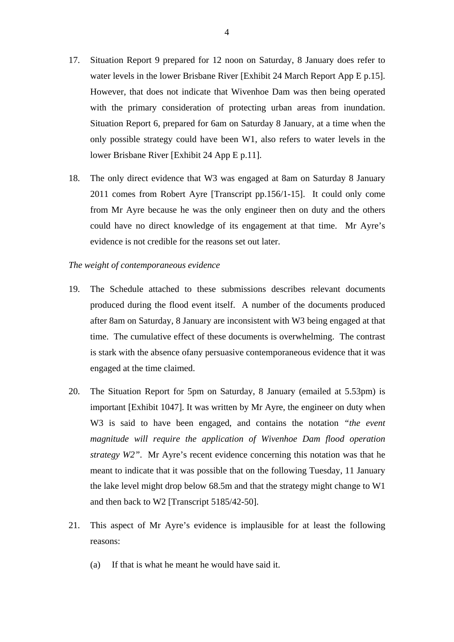- 17. Situation Report 9 prepared for 12 noon on Saturday, 8 January does refer to water levels in the lower Brisbane River [Exhibit 24 March Report App E p.15]. However, that does not indicate that Wivenhoe Dam was then being operated with the primary consideration of protecting urban areas from inundation. Situation Report 6, prepared for 6am on Saturday 8 January, at a time when the only possible strategy could have been W1, also refers to water levels in the lower Brisbane River [Exhibit 24 App E p.11].
- 18. The only direct evidence that W3 was engaged at 8am on Saturday 8 January 2011 comes from Robert Ayre [Transcript pp.156/1-15]. It could only come from Mr Ayre because he was the only engineer then on duty and the others could have no direct knowledge of its engagement at that time. Mr Ayre's evidence is not credible for the reasons set out later.

#### *The weight of contemporaneous evidence*

- 19. The Schedule attached to these submissions describes relevant documents produced during the flood event itself. A number of the documents produced after 8am on Saturday, 8 January are inconsistent with W3 being engaged at that time. The cumulative effect of these documents is overwhelming. The contrast is stark with the absence ofany persuasive contemporaneous evidence that it was engaged at the time claimed.
- 20. The Situation Report for 5pm on Saturday, 8 January (emailed at 5.53pm) is important [Exhibit 1047]. It was written by Mr Ayre, the engineer on duty when W3 is said to have been engaged, and contains the notation *"the event magnitude will require the application of Wivenhoe Dam flood operation strategy W2"*. Mr Ayre's recent evidence concerning this notation was that he meant to indicate that it was possible that on the following Tuesday, 11 January the lake level might drop below 68.5m and that the strategy might change to W1 and then back to W2 [Transcript 5185/42-50].
- 21. This aspect of Mr Ayre's evidence is implausible for at least the following reasons:
	- (a) If that is what he meant he would have said it.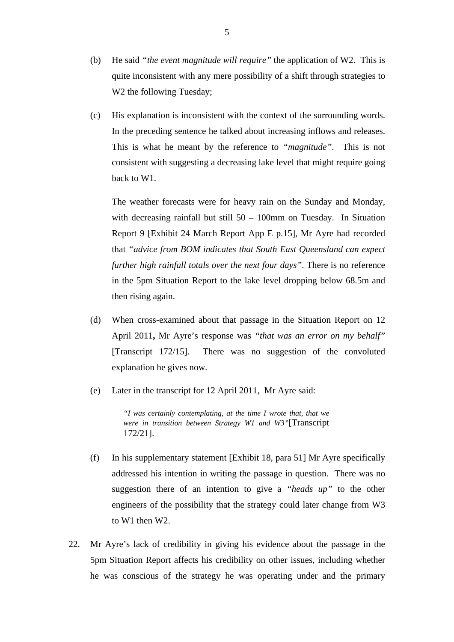- (b) He said *"the event magnitude will require"* the application of W2. This is quite inconsistent with any mere possibility of a shift through strategies to W<sub>2</sub> the following Tuesday;
- (c) His explanation is inconsistent with the context of the surrounding words. In the preceding sentence he talked about increasing inflows and releases. This is what he meant by the reference to *"magnitude"*. This is not consistent with suggesting a decreasing lake level that might require going back to W1.

The weather forecasts were for heavy rain on the Sunday and Monday, with decreasing rainfall but still  $50 - 100$ mm on Tuesday. In Situation Report 9 [Exhibit 24 March Report App E p.15], Mr Ayre had recorded that *"advice from BOM indicates that South East Queensland can expect further high rainfall totals over the next four days"*. There is no reference in the 5pm Situation Report to the lake level dropping below 68.5m and then rising again.

- (d) When cross-examined about that passage in the Situation Report on 12 April 2011**,** Mr Ayre's response was *"that was an error on my behalf"* [Transcript 172/15]. There was no suggestion of the convoluted explanation he gives now.
- (e) Later in the transcript for 12 April 2011, Mr Ayre said:

*"I was certainly contemplating, at the time I wrote that, that we were in transition between Strategy W1 and W3"*[Transcript 172/21].

- (f) In his supplementary statement [Exhibit 18, para 51] Mr Ayre specifically addressed his intention in writing the passage in question. There was no suggestion there of an intention to give a *"heads up"* to the other engineers of the possibility that the strategy could later change from W3 to W1 then W2.
- 22. Mr Ayre's lack of credibility in giving his evidence about the passage in the 5pm Situation Report affects his credibility on other issues, including whether he was conscious of the strategy he was operating under and the primary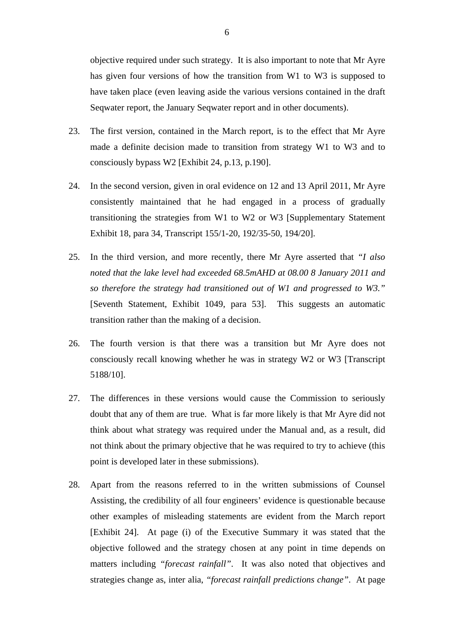objective required under such strategy. It is also important to note that Mr Ayre has given four versions of how the transition from W1 to W3 is supposed to have taken place (even leaving aside the various versions contained in the draft Seqwater report, the January Seqwater report and in other documents).

- 23. The first version, contained in the March report, is to the effect that Mr Ayre made a definite decision made to transition from strategy W1 to W3 and to consciously bypass W2 [Exhibit 24, p.13, p.190].
- 24. In the second version, given in oral evidence on 12 and 13 April 2011, Mr Ayre consistently maintained that he had engaged in a process of gradually transitioning the strategies from W1 to W2 or W3 [Supplementary Statement Exhibit 18, para 34, Transcript 155/1-20, 192/35-50, 194/20].
- 25. In the third version, and more recently, there Mr Ayre asserted that *"I also noted that the lake level had exceeded 68.5mAHD at 08.00 8 January 2011 and so therefore the strategy had transitioned out of W1 and progressed to W3."* [Seventh Statement, Exhibit 1049, para 53]. This suggests an automatic transition rather than the making of a decision.
- 26. The fourth version is that there was a transition but Mr Ayre does not consciously recall knowing whether he was in strategy W2 or W3 [Transcript 5188/10].
- 27. The differences in these versions would cause the Commission to seriously doubt that any of them are true. What is far more likely is that Mr Ayre did not think about what strategy was required under the Manual and, as a result, did not think about the primary objective that he was required to try to achieve (this point is developed later in these submissions).
- 28. Apart from the reasons referred to in the written submissions of Counsel Assisting, the credibility of all four engineers' evidence is questionable because other examples of misleading statements are evident from the March report [Exhibit 24]. At page (i) of the Executive Summary it was stated that the objective followed and the strategy chosen at any point in time depends on matters including *"forecast rainfall"*. It was also noted that objectives and strategies change as, inter alia, *"forecast rainfall predictions change"*. At page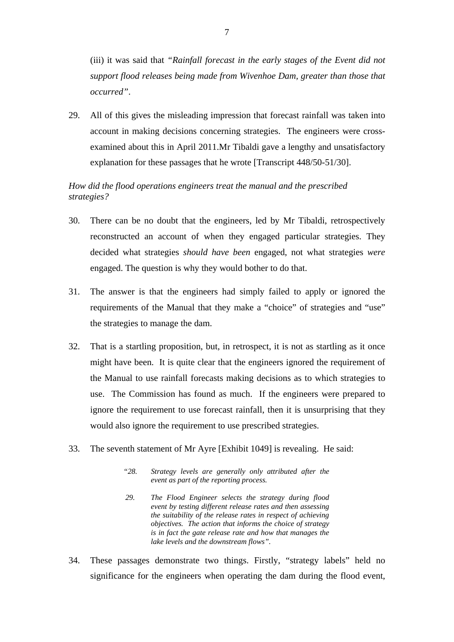(iii) it was said that *"Rainfall forecast in the early stages of the Event did not support flood releases being made from Wivenhoe Dam, greater than those that occurred"*.

29. All of this gives the misleading impression that forecast rainfall was taken into account in making decisions concerning strategies. The engineers were crossexamined about this in April 2011.Mr Tibaldi gave a lengthy and unsatisfactory explanation for these passages that he wrote [Transcript 448/50-51/30].

### *How did the flood operations engineers treat the manual and the prescribed strategies?*

- 30. There can be no doubt that the engineers, led by Mr Tibaldi, retrospectively reconstructed an account of when they engaged particular strategies. They decided what strategies *should have been* engaged, not what strategies *were*  engaged. The question is why they would bother to do that.
- 31. The answer is that the engineers had simply failed to apply or ignored the requirements of the Manual that they make a "choice" of strategies and "use" the strategies to manage the dam.
- 32. That is a startling proposition, but, in retrospect, it is not as startling as it once might have been. It is quite clear that the engineers ignored the requirement of the Manual to use rainfall forecasts making decisions as to which strategies to use. The Commission has found as much. If the engineers were prepared to ignore the requirement to use forecast rainfall, then it is unsurprising that they would also ignore the requirement to use prescribed strategies.
- 33. The seventh statement of Mr Ayre [Exhibit 1049] is revealing. He said:
	- *"28. Strategy levels are generally only attributed after the event as part of the reporting process.*
	- *29. The Flood Engineer selects the strategy during flood event by testing different release rates and then assessing the suitability of the release rates in respect of achieving objectives. The action that informs the choice of strategy is in fact the gate release rate and how that manages the lake levels and the downstream flows".*
- 34. These passages demonstrate two things. Firstly, "strategy labels" held no significance for the engineers when operating the dam during the flood event,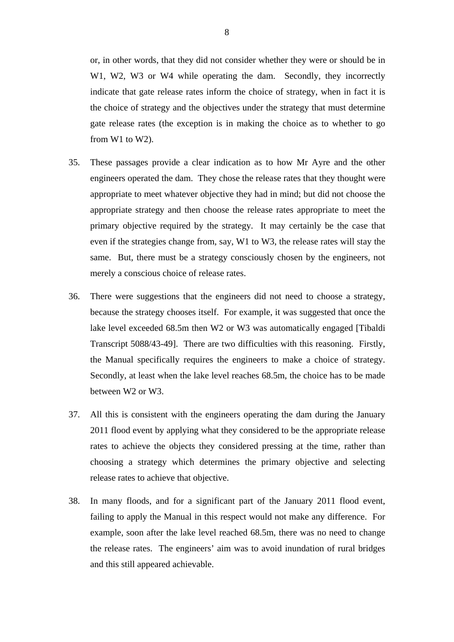or, in other words, that they did not consider whether they were or should be in W1, W2, W3 or W4 while operating the dam. Secondly, they incorrectly indicate that gate release rates inform the choice of strategy, when in fact it is the choice of strategy and the objectives under the strategy that must determine gate release rates (the exception is in making the choice as to whether to go from W1 to W2).

- 35. These passages provide a clear indication as to how Mr Ayre and the other engineers operated the dam. They chose the release rates that they thought were appropriate to meet whatever objective they had in mind; but did not choose the appropriate strategy and then choose the release rates appropriate to meet the primary objective required by the strategy. It may certainly be the case that even if the strategies change from, say, W1 to W3, the release rates will stay the same. But, there must be a strategy consciously chosen by the engineers, not merely a conscious choice of release rates.
- 36. There were suggestions that the engineers did not need to choose a strategy, because the strategy chooses itself. For example, it was suggested that once the lake level exceeded 68.5m then W2 or W3 was automatically engaged [Tibaldi Transcript 5088/43-49]. There are two difficulties with this reasoning. Firstly, the Manual specifically requires the engineers to make a choice of strategy. Secondly, at least when the lake level reaches 68.5m, the choice has to be made between W2 or W3.
- 37. All this is consistent with the engineers operating the dam during the January 2011 flood event by applying what they considered to be the appropriate release rates to achieve the objects they considered pressing at the time, rather than choosing a strategy which determines the primary objective and selecting release rates to achieve that objective.
- 38. In many floods, and for a significant part of the January 2011 flood event, failing to apply the Manual in this respect would not make any difference. For example, soon after the lake level reached 68.5m, there was no need to change the release rates. The engineers' aim was to avoid inundation of rural bridges and this still appeared achievable.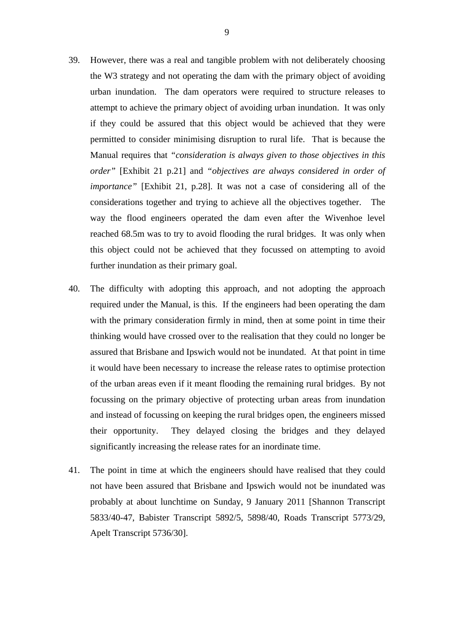- 39. However, there was a real and tangible problem with not deliberately choosing the W3 strategy and not operating the dam with the primary object of avoiding urban inundation. The dam operators were required to structure releases to attempt to achieve the primary object of avoiding urban inundation. It was only if they could be assured that this object would be achieved that they were permitted to consider minimising disruption to rural life. That is because the Manual requires that *"consideration is always given to those objectives in this order"* [Exhibit 21 p.21] and *"objectives are always considered in order of importance"* [Exhibit 21, p.28]. It was not a case of considering all of the considerations together and trying to achieve all the objectives together. The way the flood engineers operated the dam even after the Wivenhoe level reached 68.5m was to try to avoid flooding the rural bridges. It was only when this object could not be achieved that they focussed on attempting to avoid further inundation as their primary goal.
- 40. The difficulty with adopting this approach, and not adopting the approach required under the Manual, is this. If the engineers had been operating the dam with the primary consideration firmly in mind, then at some point in time their thinking would have crossed over to the realisation that they could no longer be assured that Brisbane and Ipswich would not be inundated. At that point in time it would have been necessary to increase the release rates to optimise protection of the urban areas even if it meant flooding the remaining rural bridges. By not focussing on the primary objective of protecting urban areas from inundation and instead of focussing on keeping the rural bridges open, the engineers missed their opportunity. They delayed closing the bridges and they delayed significantly increasing the release rates for an inordinate time.
- 41. The point in time at which the engineers should have realised that they could not have been assured that Brisbane and Ipswich would not be inundated was probably at about lunchtime on Sunday, 9 January 2011 [Shannon Transcript 5833/40-47, Babister Transcript 5892/5, 5898/40, Roads Transcript 5773/29, Apelt Transcript 5736/30].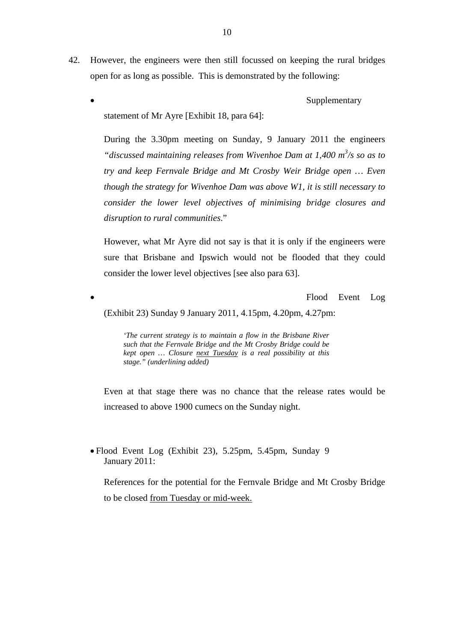- 42. However, the engineers were then still focussed on keeping the rural bridges open for as long as possible. This is demonstrated by the following:
	- Supplementary

statement of Mr Ayre [Exhibit 18, para 64]:

During the 3.30pm meeting on Sunday, 9 January 2011 the engineers "*discussed maintaining releases from Wivenhoe Dam at 1,400 m<sup>3</sup>/s so as to try and keep Fernvale Bridge and Mt Crosby Weir Bridge open … Even though the strategy for Wivenhoe Dam was above W1, it is still necessary to consider the lower level objectives of minimising bridge closures and disruption to rural communities*."

However, what Mr Ayre did not say is that it is only if the engineers were sure that Brisbane and Ipswich would not be flooded that they could consider the lower level objectives [see also para 63].

Flood Event Log

(Exhibit 23) Sunday 9 January 2011, 4.15pm, 4.20pm, 4.27pm:

*'The current strategy is to maintain a flow in the Brisbane River such that the Fernvale Bridge and the Mt Crosby Bridge could be kept open … Closure next Tuesday is a real possibility at this stage." (underlining added)* 

Even at that stage there was no chance that the release rates would be increased to above 1900 cumecs on the Sunday night.

 Flood Event Log (Exhibit 23), 5.25pm, 5.45pm, Sunday 9 January 2011:

References for the potential for the Fernvale Bridge and Mt Crosby Bridge to be closed from Tuesday or mid-week.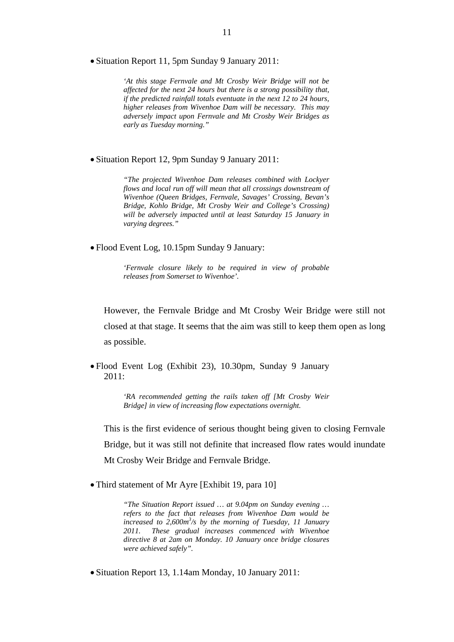Situation Report 11, 5pm Sunday 9 January 2011:

*'At this stage Fernvale and Mt Crosby Weir Bridge will not be affected for the next 24 hours but there is a strong possibility that, if the predicted rainfall totals eventuate in the next 12 to 24 hours, higher releases from Wivenhoe Dam will be necessary. This may adversely impact upon Fernvale and Mt Crosby Weir Bridges as early as Tuesday morning."* 

Situation Report 12, 9pm Sunday 9 January 2011:

*"The projected Wivenhoe Dam releases combined with Lockyer flows and local run off will mean that all crossings downstream of Wivenhoe (Queen Bridges, Fernvale, Savages' Crossing, Bevan's Bridge, Kohlo Bridge, Mt Crosby Weir and College's Crossing) will be adversely impacted until at least Saturday 15 January in varying degrees."* 

Flood Event Log, 10.15pm Sunday 9 January:

*'Fernvale closure likely to be required in view of probable releases from Somerset to Wivenhoe'.* 

However, the Fernvale Bridge and Mt Crosby Weir Bridge were still not closed at that stage. It seems that the aim was still to keep them open as long as possible.

 Flood Event Log (Exhibit 23), 10.30pm, Sunday 9 January 2011:

> *'RA recommended getting the rails taken off [Mt Crosby Weir Bridge] in view of increasing flow expectations overnight.*

This is the first evidence of serious thought being given to closing Fernvale Bridge, but it was still not definite that increased flow rates would inundate Mt Crosby Weir Bridge and Fernvale Bridge.

• Third statement of Mr Ayre [Exhibit 19, para 10]

*"The Situation Report issued … at 9.04pm on Sunday evening … refers to the fact that releases from Wivenhoe Dam would be increased to 2,600m<sup>3</sup> /s by the morning of Tuesday, 11 January 2011. These gradual increases commenced with Wivenhoe directive 8 at 2am on Monday. 10 January once bridge closures were achieved safely".* 

Situation Report 13, 1.14am Monday, 10 January 2011: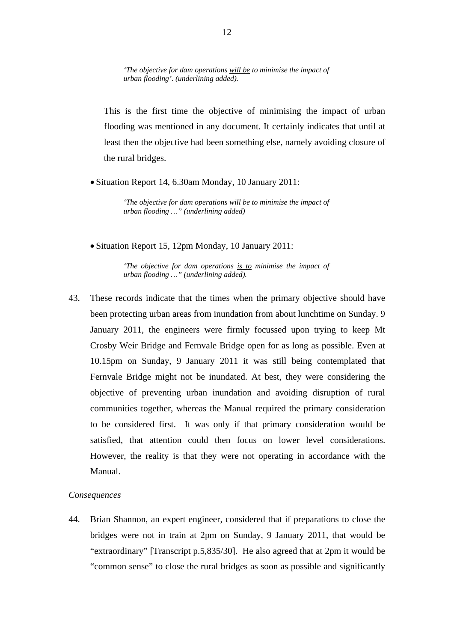*'The objective for dam operations will be to minimise the impact of urban flooding'. (underlining added).* 

This is the first time the objective of minimising the impact of urban flooding was mentioned in any document. It certainly indicates that until at least then the objective had been something else, namely avoiding closure of the rural bridges.

• Situation Report 14, 6.30am Monday, 10 January 2011:

*'The objective for dam operations will be to minimise the impact of urban flooding …" (underlining added)* 

Situation Report 15, 12pm Monday, 10 January 2011:

*'The objective for dam operations is to minimise the impact of urban flooding …" (underlining added).* 

43. These records indicate that the times when the primary objective should have been protecting urban areas from inundation from about lunchtime on Sunday. 9 January 2011, the engineers were firmly focussed upon trying to keep Mt Crosby Weir Bridge and Fernvale Bridge open for as long as possible. Even at 10.15pm on Sunday, 9 January 2011 it was still being contemplated that Fernvale Bridge might not be inundated. At best, they were considering the objective of preventing urban inundation and avoiding disruption of rural communities together, whereas the Manual required the primary consideration to be considered first. It was only if that primary consideration would be satisfied, that attention could then focus on lower level considerations. However, the reality is that they were not operating in accordance with the Manual.

#### *Consequences*

44. Brian Shannon, an expert engineer, considered that if preparations to close the bridges were not in train at 2pm on Sunday, 9 January 2011, that would be "extraordinary" [Transcript p.5,835/30]. He also agreed that at 2pm it would be "common sense" to close the rural bridges as soon as possible and significantly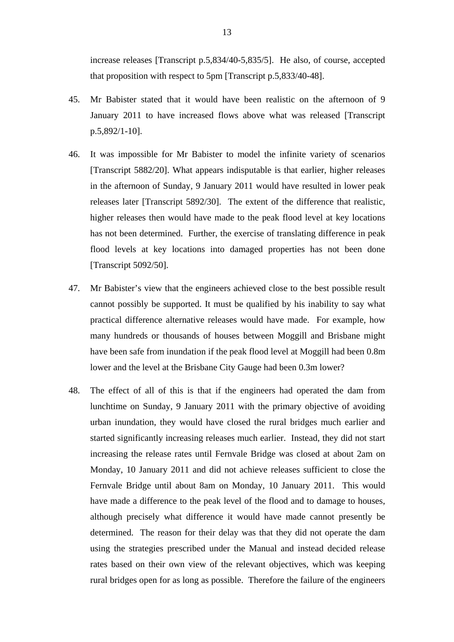increase releases [Transcript p.5,834/40-5,835/5]. He also, of course, accepted that proposition with respect to 5pm [Transcript p.5,833/40-48].

- 45. Mr Babister stated that it would have been realistic on the afternoon of 9 January 2011 to have increased flows above what was released [Transcript p.5,892/1-10].
- 46. It was impossible for Mr Babister to model the infinite variety of scenarios [Transcript 5882/20]. What appears indisputable is that earlier, higher releases in the afternoon of Sunday, 9 January 2011 would have resulted in lower peak releases later [Transcript 5892/30]. The extent of the difference that realistic, higher releases then would have made to the peak flood level at key locations has not been determined. Further, the exercise of translating difference in peak flood levels at key locations into damaged properties has not been done [Transcript 5092/50].
- 47. Mr Babister's view that the engineers achieved close to the best possible result cannot possibly be supported. It must be qualified by his inability to say what practical difference alternative releases would have made. For example, how many hundreds or thousands of houses between Moggill and Brisbane might have been safe from inundation if the peak flood level at Moggill had been 0.8m lower and the level at the Brisbane City Gauge had been 0.3m lower?
- 48. The effect of all of this is that if the engineers had operated the dam from lunchtime on Sunday, 9 January 2011 with the primary objective of avoiding urban inundation, they would have closed the rural bridges much earlier and started significantly increasing releases much earlier. Instead, they did not start increasing the release rates until Fernvale Bridge was closed at about 2am on Monday, 10 January 2011 and did not achieve releases sufficient to close the Fernvale Bridge until about 8am on Monday, 10 January 2011. This would have made a difference to the peak level of the flood and to damage to houses, although precisely what difference it would have made cannot presently be determined. The reason for their delay was that they did not operate the dam using the strategies prescribed under the Manual and instead decided release rates based on their own view of the relevant objectives, which was keeping rural bridges open for as long as possible. Therefore the failure of the engineers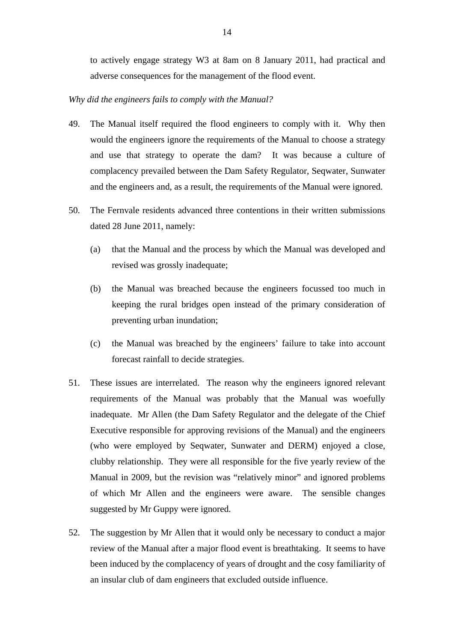to actively engage strategy W3 at 8am on 8 January 2011, had practical and adverse consequences for the management of the flood event.

#### *Why did the engineers fails to comply with the Manual?*

- 49. The Manual itself required the flood engineers to comply with it. Why then would the engineers ignore the requirements of the Manual to choose a strategy and use that strategy to operate the dam? It was because a culture of complacency prevailed between the Dam Safety Regulator, Seqwater, Sunwater and the engineers and, as a result, the requirements of the Manual were ignored.
- 50. The Fernvale residents advanced three contentions in their written submissions dated 28 June 2011, namely:
	- (a) that the Manual and the process by which the Manual was developed and revised was grossly inadequate;
	- (b) the Manual was breached because the engineers focussed too much in keeping the rural bridges open instead of the primary consideration of preventing urban inundation;
	- (c) the Manual was breached by the engineers' failure to take into account forecast rainfall to decide strategies.
- 51. These issues are interrelated. The reason why the engineers ignored relevant requirements of the Manual was probably that the Manual was woefully inadequate. Mr Allen (the Dam Safety Regulator and the delegate of the Chief Executive responsible for approving revisions of the Manual) and the engineers (who were employed by Seqwater, Sunwater and DERM) enjoyed a close, clubby relationship. They were all responsible for the five yearly review of the Manual in 2009, but the revision was "relatively minor" and ignored problems of which Mr Allen and the engineers were aware. The sensible changes suggested by Mr Guppy were ignored.
- 52. The suggestion by Mr Allen that it would only be necessary to conduct a major review of the Manual after a major flood event is breathtaking. It seems to have been induced by the complacency of years of drought and the cosy familiarity of an insular club of dam engineers that excluded outside influence.